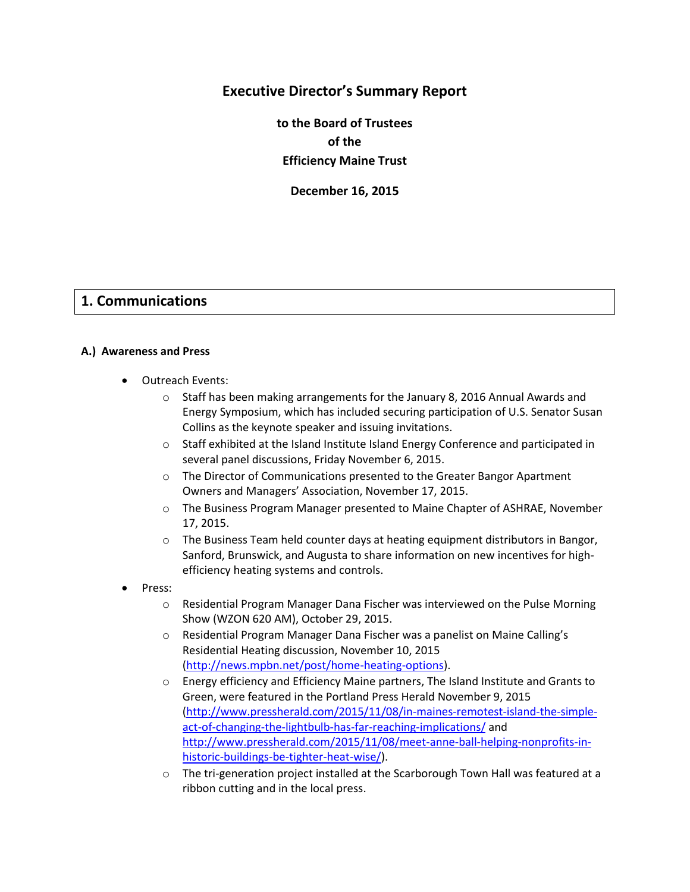# **Executive Director's Summary Report**

**to the Board of Trustees of the Efficiency Maine Trust**

**December 16, 2015**

# **1. Communications**

#### **A.) Awareness and Press**

- Outreach Events:
	- $\circ$  Staff has been making arrangements for the January 8, 2016 Annual Awards and Energy Symposium, which has included securing participation of U.S. Senator Susan Collins as the keynote speaker and issuing invitations.
	- o Staff exhibited at the Island Institute Island Energy Conference and participated in several panel discussions, Friday November 6, 2015.
	- o The Director of Communications presented to the Greater Bangor Apartment Owners and Managers' Association, November 17, 2015.
	- o The Business Program Manager presented to Maine Chapter of ASHRAE, November 17, 2015.
	- $\circ$  The Business Team held counter days at heating equipment distributors in Bangor, Sanford, Brunswick, and Augusta to share information on new incentives for highefficiency heating systems and controls.
- Press:
	- o Residential Program Manager Dana Fischer was interviewed on the Pulse Morning Show (WZON 620 AM), October 29, 2015.
	- o Residential Program Manager Dana Fischer was a panelist on Maine Calling's Residential Heating discussion, November 10, 2015 [\(http://news.mpbn.net/post/home-heating-options\)](http://news.mpbn.net/post/home-heating-options).
	- o Energy efficiency and Efficiency Maine partners, The Island Institute and Grants to Green, were featured in the Portland Press Herald November 9, 2015 [\(http://www.pressherald.com/2015/11/08/in-maines-remotest-island-the-simple](http://www.pressherald.com/2015/11/08/in-maines-remotest-island-the-simple-act-of-changing-the-lightbulb-has-far-reaching-implications/)[act-of-changing-the-lightbulb-has-far-reaching-implications/](http://www.pressherald.com/2015/11/08/in-maines-remotest-island-the-simple-act-of-changing-the-lightbulb-has-far-reaching-implications/) and [http://www.pressherald.com/2015/11/08/meet-anne-ball-helping-nonprofits-in](http://www.pressherald.com/2015/11/08/meet-anne-ball-helping-nonprofits-in-historic-buildings-be-tighter-heat-wise/)[historic-buildings-be-tighter-heat-wise/\)](http://www.pressherald.com/2015/11/08/meet-anne-ball-helping-nonprofits-in-historic-buildings-be-tighter-heat-wise/).
	- o The tri-generation project installed at the Scarborough Town Hall was featured at a ribbon cutting and in the local press.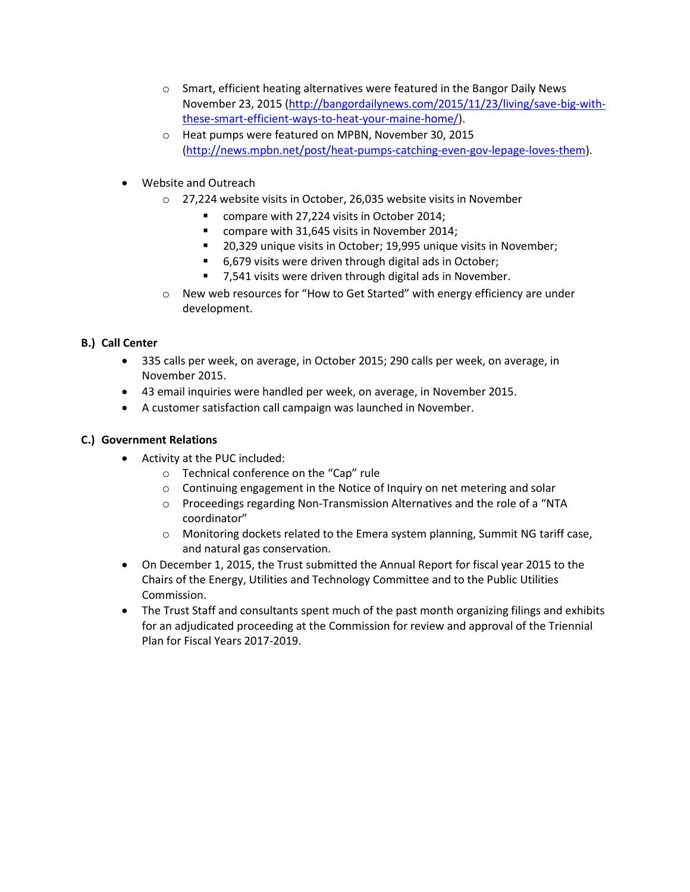- o Smart, efficient heating alternatives were featured in the Bangor Daily News November 23, 2015 [\(http://bangordailynews.com/2015/11/23/living/save-big-with](http://bangordailynews.com/2015/11/23/living/save-big-with-these-smart-efficient-ways-to-heat-your-maine-home/)[these-smart-efficient-ways-to-heat-your-maine-home/\)](http://bangordailynews.com/2015/11/23/living/save-big-with-these-smart-efficient-ways-to-heat-your-maine-home/).
- o Heat pumps were featured on MPBN, November 30, 2015 [\(http://news.mpbn.net/post/heat-pumps-catching-even-gov-lepage-loves-them\)](http://news.mpbn.net/post/heat-pumps-catching-even-gov-lepage-loves-them).
- Website and Outreach
	- o 27,224 website visits in October, 26,035 website visits in November
		- compare with 27,224 visits in October 2014;
		- **COMPARE WITH 31,645 visits in November 2014;**
		- **20,329 unique visits in October; 19,995 unique visits in November;**
		- 6,679 visits were driven through digital ads in October;
		- 7,541 visits were driven through digital ads in November.
	- o New web resources for "How to Get Started" with energy efficiency are under development.

# **B.) Call Center**

- 335 calls per week, on average, in October 2015; 290 calls per week, on average, in November 2015.
- 43 email inquiries were handled per week, on average, in November 2015.
- A customer satisfaction call campaign was launched in November.

# **C.) Government Relations**

- Activity at the PUC included:
	- o Technical conference on the "Cap" rule
	- o Continuing engagement in the Notice of Inquiry on net metering and solar
	- o Proceedings regarding Non-Transmission Alternatives and the role of a "NTA coordinator"
	- $\circ$  Monitoring dockets related to the Emera system planning, Summit NG tariff case, and natural gas conservation.
- On December 1, 2015, the Trust submitted the Annual Report for fiscal year 2015 to the Chairs of the Energy, Utilities and Technology Committee and to the Public Utilities Commission.
- The Trust Staff and consultants spent much of the past month organizing filings and exhibits for an adjudicated proceeding at the Commission for review and approval of the Triennial Plan for Fiscal Years 2017-2019.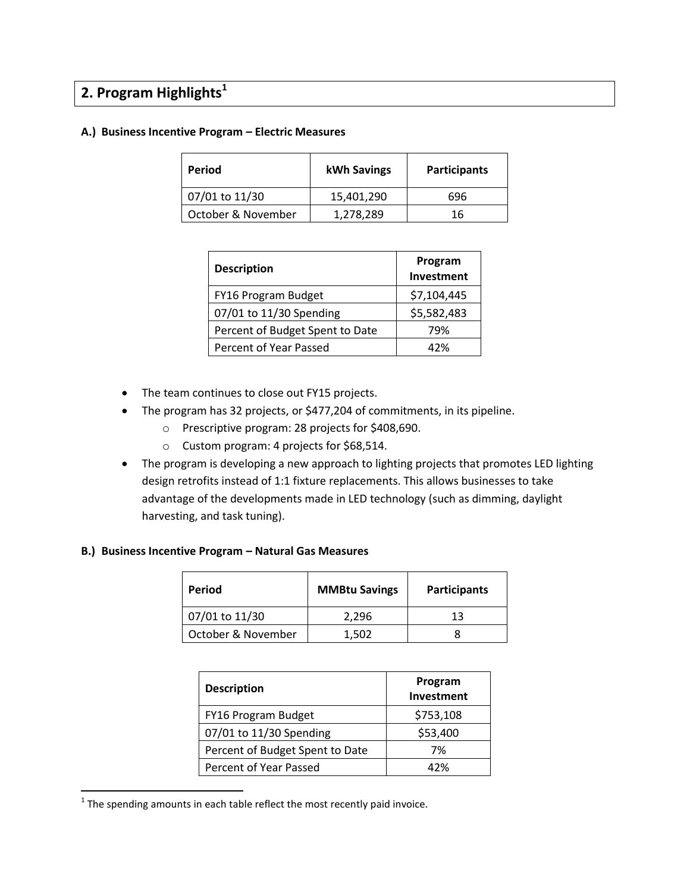# **2. Program Highlights<sup>1</sup>**

#### **A.) Business Incentive Program – Electric Measures**

| Period             | kWh Savings | <b>Participants</b> |  |
|--------------------|-------------|---------------------|--|
| 07/01 to 11/30     | 15,401,290  | 696                 |  |
| October & November | 1,278,289   | 16                  |  |

| <b>Description</b>              | Program<br>Investment |  |
|---------------------------------|-----------------------|--|
| FY16 Program Budget             | \$7,104,445           |  |
| 07/01 to 11/30 Spending         | \$5,582,483           |  |
| Percent of Budget Spent to Date | 79%                   |  |
| Percent of Year Passed          | 47%                   |  |

- The team continues to close out FY15 projects.
- The program has 32 projects, or \$477,204 of commitments, in its pipeline.
	- o Prescriptive program: 28 projects for \$408,690.
	- o Custom program: 4 projects for \$68,514.
- The program is developing a new approach to lighting projects that promotes LED lighting design retrofits instead of 1:1 fixture replacements. This allows businesses to take advantage of the developments made in LED technology (such as dimming, daylight harvesting, and task tuning).

#### **B.) Business Incentive Program – Natural Gas Measures**

| Period             | <b>MMBtu Savings</b> | <b>Participants</b> |  |
|--------------------|----------------------|---------------------|--|
| 07/01 to 11/30     | 2.296                | 13                  |  |
| October & November | 1,502                |                     |  |

| <b>Description</b>              | Program<br>Investment |  |
|---------------------------------|-----------------------|--|
| FY16 Program Budget             | \$753,108             |  |
| 07/01 to 11/30 Spending         | \$53,400              |  |
| Percent of Budget Spent to Date | 7%                    |  |
| Percent of Year Passed          | 42%                   |  |

 $1$  The spending amounts in each table reflect the most recently paid invoice.

 $\overline{\phantom{a}}$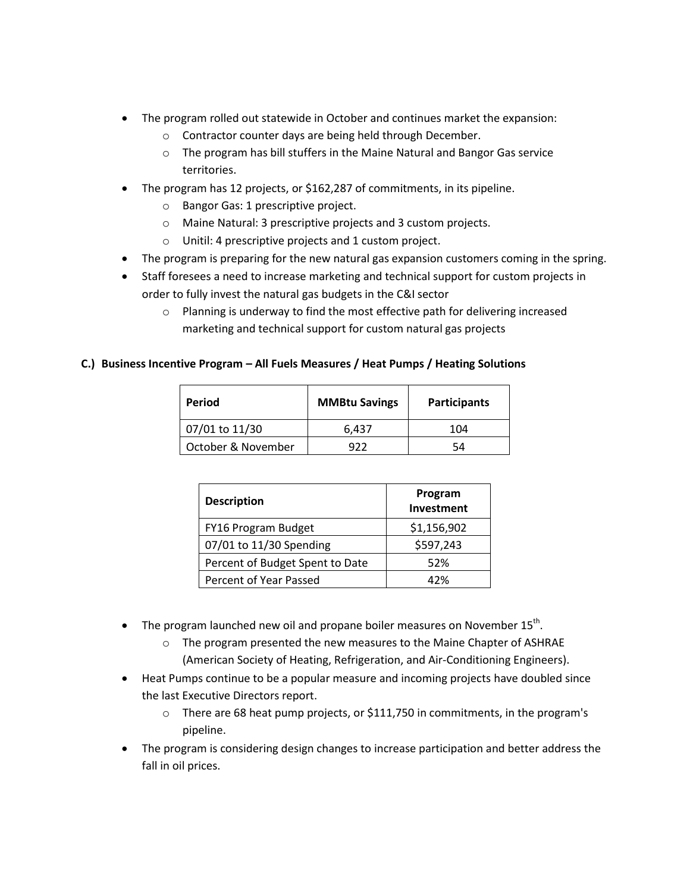- The program rolled out statewide in October and continues market the expansion:
	- o Contractor counter days are being held through December.
	- o The program has bill stuffers in the Maine Natural and Bangor Gas service territories.
- The program has 12 projects, or \$162,287 of commitments, in its pipeline.
	- o Bangor Gas: 1 prescriptive project.
	- o Maine Natural: 3 prescriptive projects and 3 custom projects.
	- o Unitil: 4 prescriptive projects and 1 custom project.
- The program is preparing for the new natural gas expansion customers coming in the spring.
- Staff foresees a need to increase marketing and technical support for custom projects in order to fully invest the natural gas budgets in the C&I sector
	- o Planning is underway to find the most effective path for delivering increased marketing and technical support for custom natural gas projects

## **C.) Business Incentive Program – All Fuels Measures / Heat Pumps / Heating Solutions**

| Period             | <b>MMBtu Savings</b> | <b>Participants</b> |  |
|--------------------|----------------------|---------------------|--|
| 07/01 to 11/30     | 6,437                | 104                 |  |
| October & November | 977                  | 54                  |  |

| <b>Description</b>              | Program<br>Investment |  |
|---------------------------------|-----------------------|--|
| FY16 Program Budget             | \$1,156,902           |  |
| 07/01 to 11/30 Spending         | \$597,243             |  |
| Percent of Budget Spent to Date | 52%                   |  |
| Percent of Year Passed          | 42%                   |  |

- $\bullet$  The program launched new oil and propane boiler measures on November 15<sup>th</sup>.
	- o The program presented the new measures to the Maine Chapter of ASHRAE (American Society of Heating, Refrigeration, and Air-Conditioning Engineers).
- Heat Pumps continue to be a popular measure and incoming projects have doubled since the last Executive Directors report.
	- o There are 68 heat pump projects, or \$111,750 in commitments, in the program's pipeline.
- The program is considering design changes to increase participation and better address the fall in oil prices.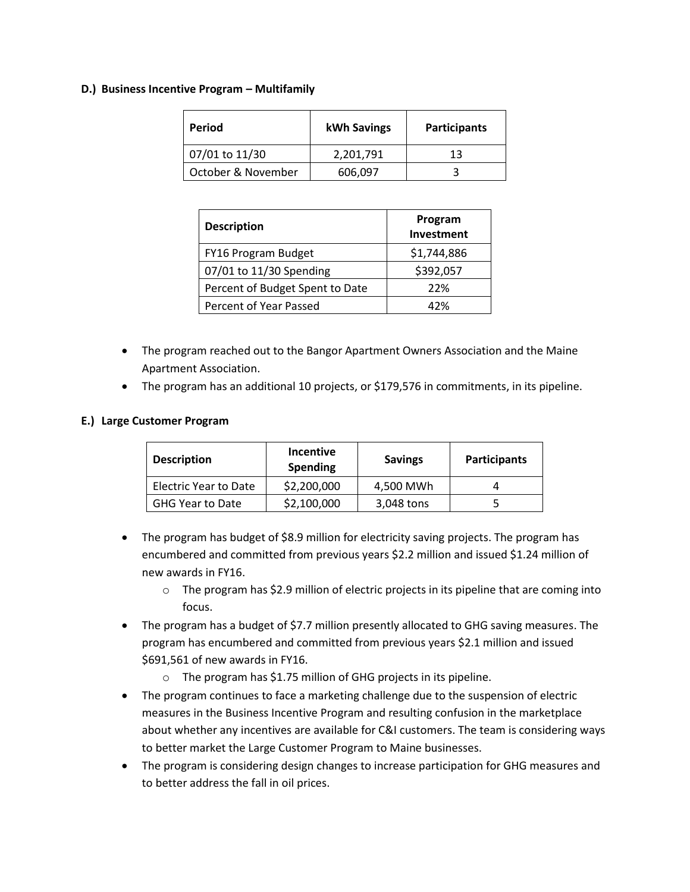#### **D.) Business Incentive Program – Multifamily**

| Period             | kWh Savings | <b>Participants</b> |  |
|--------------------|-------------|---------------------|--|
| 07/01 to 11/30     | 2,201,791   | 13                  |  |
| October & November | 606,097     |                     |  |

| <b>Description</b>              | Program<br>Investment |  |
|---------------------------------|-----------------------|--|
| FY16 Program Budget             | \$1,744,886           |  |
| 07/01 to 11/30 Spending         | \$392,057             |  |
| Percent of Budget Spent to Date | 22%                   |  |
| Percent of Year Passed          | 42%                   |  |

- The program reached out to the Bangor Apartment Owners Association and the Maine Apartment Association.
- The program has an additional 10 projects, or \$179,576 in commitments, in its pipeline.

#### **E.) Large Customer Program**

| <b>Description</b>      | <b>Incentive</b><br><b>Spending</b> | <b>Savings</b> | <b>Participants</b> |
|-------------------------|-------------------------------------|----------------|---------------------|
| Electric Year to Date   | \$2,200,000                         | 4,500 MWh      |                     |
| <b>GHG Year to Date</b> | \$2,100,000                         | 3,048 tons     |                     |

- The program has budget of \$8.9 million for electricity saving projects. The program has encumbered and committed from previous years \$2.2 million and issued \$1.24 million of new awards in FY16.
	- o The program has \$2.9 million of electric projects in its pipeline that are coming into focus.
- The program has a budget of \$7.7 million presently allocated to GHG saving measures. The program has encumbered and committed from previous years \$2.1 million and issued \$691,561 of new awards in FY16.
	- o The program has \$1.75 million of GHG projects in its pipeline.
- The program continues to face a marketing challenge due to the suspension of electric measures in the Business Incentive Program and resulting confusion in the marketplace about whether any incentives are available for C&I customers. The team is considering ways to better market the Large Customer Program to Maine businesses.
- The program is considering design changes to increase participation for GHG measures and to better address the fall in oil prices.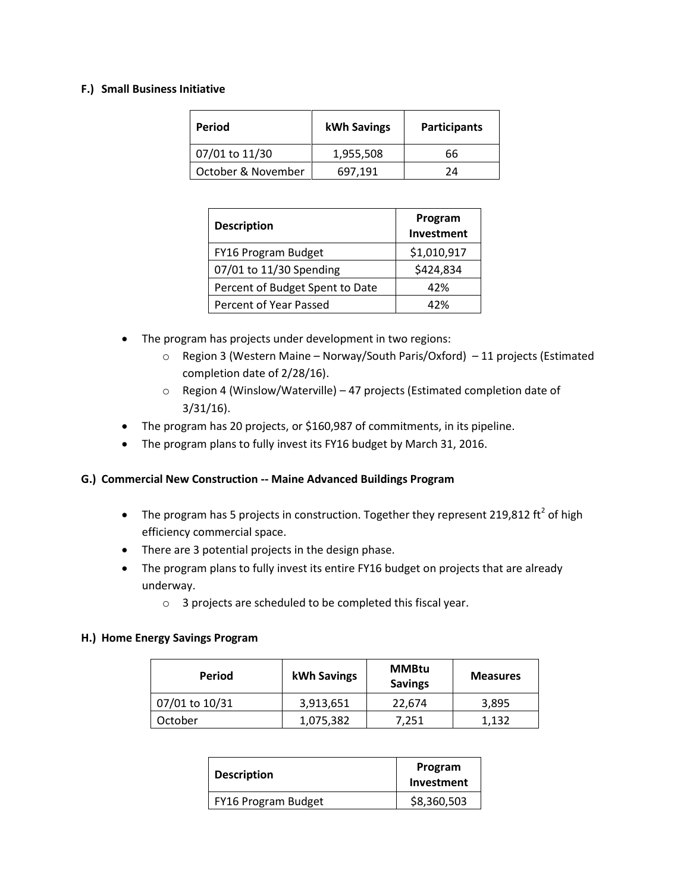#### **F.) Small Business Initiative**

| Period             | <b>kWh Savings</b> | <b>Participants</b> |  |
|--------------------|--------------------|---------------------|--|
| 07/01 to 11/30     | 1,955,508          | 66                  |  |
| October & November | 697.191            | 7Δ                  |  |

| <b>Description</b>              | Program<br>Investment |
|---------------------------------|-----------------------|
| FY16 Program Budget             | \$1,010,917           |
| 07/01 to 11/30 Spending         | \$424,834             |
| Percent of Budget Spent to Date | 42%                   |
| Percent of Year Passed          | 42%                   |

- The program has projects under development in two regions:
	- o Region 3 (Western Maine Norway/South Paris/Oxford) 11 projects (Estimated completion date of 2/28/16).
	- o Region 4 (Winslow/Waterville) 47 projects (Estimated completion date of 3/31/16).
- The program has 20 projects, or \$160,987 of commitments, in its pipeline.
- The program plans to fully invest its FY16 budget by March 31, 2016.

#### **G.) Commercial New Construction -- Maine Advanced Buildings Program**

- The program has 5 projects in construction. Together they represent 219,812 ft<sup>2</sup> of high efficiency commercial space.
- There are 3 potential projects in the design phase.
- The program plans to fully invest its entire FY16 budget on projects that are already underway.
	- o 3 projects are scheduled to be completed this fiscal year.

#### **H.) Home Energy Savings Program**

| Period         | kWh Savings | <b>MMBtu</b><br><b>Savings</b> | <b>Measures</b> |
|----------------|-------------|--------------------------------|-----------------|
| 07/01 to 10/31 | 3,913,651   | 22.674                         | 3.895           |
| October        | 1,075,382   | 7,251                          | 1.132           |

| <b>Description</b>  | Program<br>Investment |
|---------------------|-----------------------|
| FY16 Program Budget | \$8,360,503           |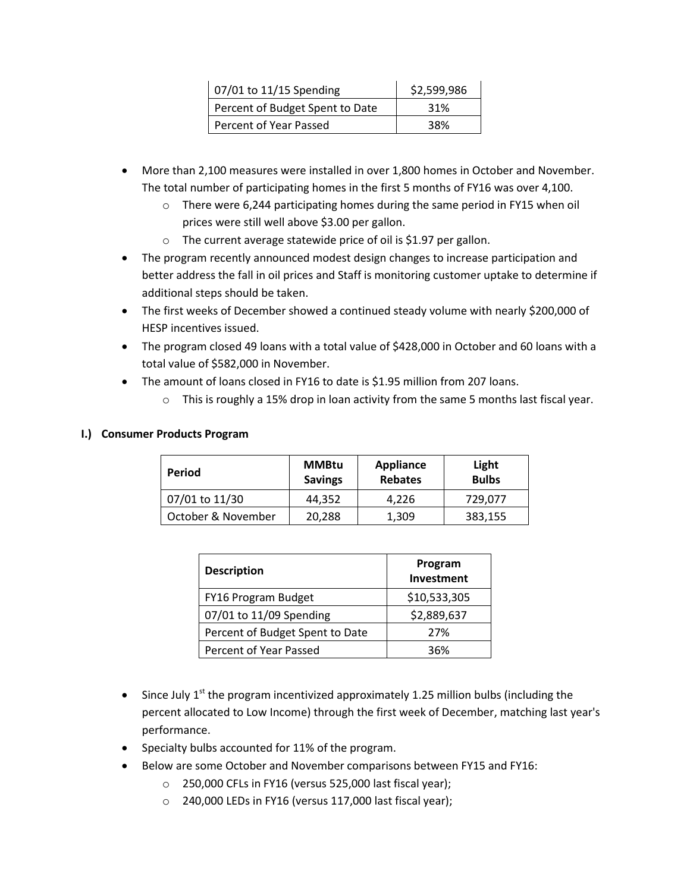| 07/01 to 11/15 Spending         | \$2,599,986 |
|---------------------------------|-------------|
| Percent of Budget Spent to Date | 31%         |
| Percent of Year Passed          | 38%         |

- More than 2,100 measures were installed in over 1,800 homes in October and November. The total number of participating homes in the first 5 months of FY16 was over 4,100.
	- o There were 6,244 participating homes during the same period in FY15 when oil prices were still well above \$3.00 per gallon.
	- o The current average statewide price of oil is \$1.97 per gallon.
- The program recently announced modest design changes to increase participation and better address the fall in oil prices and Staff is monitoring customer uptake to determine if additional steps should be taken.
- The first weeks of December showed a continued steady volume with nearly \$200,000 of HESP incentives issued.
- The program closed 49 loans with a total value of \$428,000 in October and 60 loans with a total value of \$582,000 in November.
- The amount of loans closed in FY16 to date is \$1.95 million from 207 loans.
	- $\circ$  This is roughly a 15% drop in loan activity from the same 5 months last fiscal year.

## **I.) Consumer Products Program**

| <b>Period</b>      | <b>MMBtu</b><br><b>Savings</b> | <b>Appliance</b><br><b>Rebates</b> | Light<br><b>Bulbs</b> |
|--------------------|--------------------------------|------------------------------------|-----------------------|
| 07/01 to 11/30     | 44.352                         | 4.226                              | 729,077               |
| October & November | 20,288                         | 1,309                              | 383,155               |

| <b>Description</b>              | Program<br>Investment |
|---------------------------------|-----------------------|
| FY16 Program Budget             | \$10,533,305          |
| 07/01 to 11/09 Spending         | \$2,889,637           |
| Percent of Budget Spent to Date | 27%                   |
| Percent of Year Passed          | 36%                   |

- Since July  $1^{st}$  the program incentivized approximately 1.25 million bulbs (including the percent allocated to Low Income) through the first week of December, matching last year's performance.
- Specialty bulbs accounted for 11% of the program.
- Below are some October and November comparisons between FY15 and FY16:
	- o 250,000 CFLs in FY16 (versus 525,000 last fiscal year);
	- o 240,000 LEDs in FY16 (versus 117,000 last fiscal year);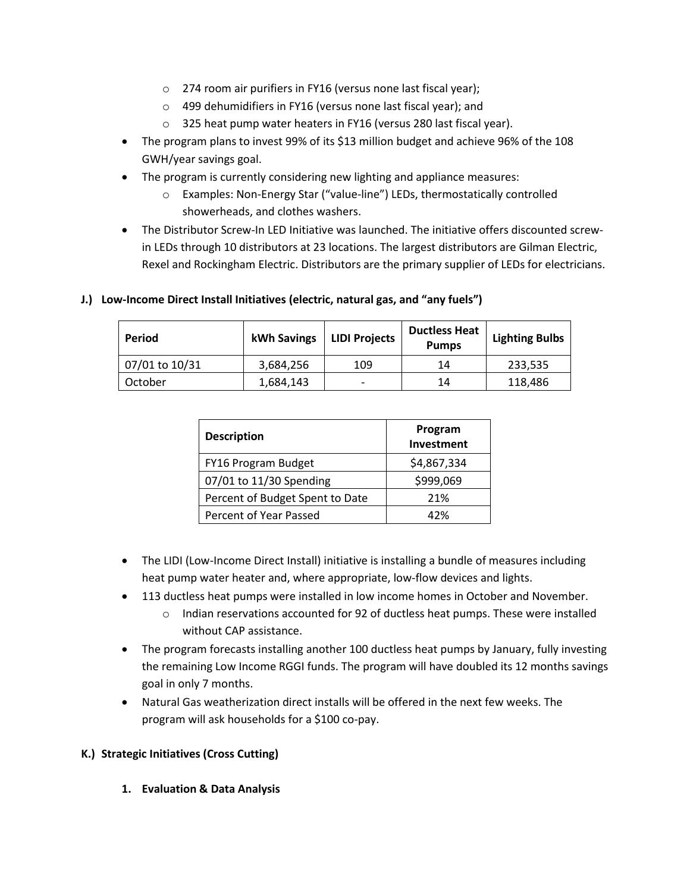- o 274 room air purifiers in FY16 (versus none last fiscal year);
- o 499 dehumidifiers in FY16 (versus none last fiscal year); and
- o 325 heat pump water heaters in FY16 (versus 280 last fiscal year).
- The program plans to invest 99% of its \$13 million budget and achieve 96% of the 108 GWH/year savings goal.
- The program is currently considering new lighting and appliance measures:
	- o Examples: Non-Energy Star ("value-line") LEDs, thermostatically controlled showerheads, and clothes washers.
- The Distributor Screw-In LED Initiative was launched. The initiative offers discounted screwin LEDs through 10 distributors at 23 locations. The largest distributors are Gilman Electric, Rexel and Rockingham Electric. Distributors are the primary supplier of LEDs for electricians.

| Period         | kWh Savings | <b>LIDI Projects</b> | <b>Ductless Heat</b><br><b>Pumps</b> | <b>Lighting Bulbs</b> |
|----------------|-------------|----------------------|--------------------------------------|-----------------------|
| 07/01 to 10/31 | 3,684,256   | 109                  | 14                                   | 233,535               |
| October        | 1,684,143   |                      | 14                                   | 118,486               |

# **J.) Low-Income Direct Install Initiatives (electric, natural gas, and "any fuels")**

| <b>Description</b>              | Program<br>Investment |  |
|---------------------------------|-----------------------|--|
| FY16 Program Budget             | \$4,867,334           |  |
| 07/01 to 11/30 Spending         | \$999,069             |  |
| Percent of Budget Spent to Date | 21%                   |  |
| Percent of Year Passed          | 42%                   |  |

- The LIDI (Low-Income Direct Install) initiative is installing a bundle of measures including heat pump water heater and, where appropriate, low-flow devices and lights.
- 113 ductless heat pumps were installed in low income homes in October and November.
	- $\circ$  Indian reservations accounted for 92 of ductless heat pumps. These were installed without CAP assistance.
- The program forecasts installing another 100 ductless heat pumps by January, fully investing the remaining Low Income RGGI funds. The program will have doubled its 12 months savings goal in only 7 months.
- Natural Gas weatherization direct installs will be offered in the next few weeks. The program will ask households for a \$100 co-pay.

# **K.) Strategic Initiatives (Cross Cutting)**

**1. Evaluation & Data Analysis**